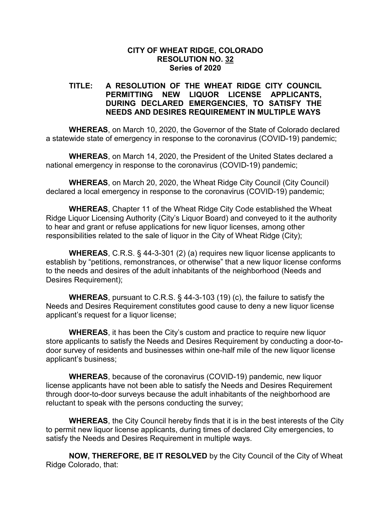## **CITY OF WHEAT RIDGE, COLORADO RESOLUTION NO. 32 Series of 2020**

## **TITLE: A RESOLUTION OF THE WHEAT RIDGE CITY COUNCIL PERMITTING NEW LIQUOR LICENSE APPLICANTS, DURING DECLARED EMERGENCIES, TO SATISFY THE NEEDS AND DESIRES REQUIREMENT IN MULTIPLE WAYS**

**WHEREAS**, on March 10, 2020, the Governor of the State of Colorado declared a statewide state of emergency in response to the coronavirus (COVID-19) pandemic;

**WHEREAS**, on March 14, 2020, the President of the United States declared a national emergency in response to the coronavirus (COVID-19) pandemic;

**WHEREAS**, on March 20, 2020, the Wheat Ridge City Council (City Council) declared a local emergency in response to the coronavirus (COVID-19) pandemic;

**WHEREAS**, Chapter 11 of the Wheat Ridge City Code established the Wheat Ridge Liquor Licensing Authority (City's Liquor Board) and conveyed to it the authority to hear and grant or refuse applications for new liquor licenses, among other responsibilities related to the sale of liquor in the City of Wheat Ridge (City);

**WHEREAS**, C.R.S. § 44-3-301 (2) (a) requires new liquor license applicants to establish by "petitions, remonstrances, or otherwise" that a new liquor license conforms to the needs and desires of the adult inhabitants of the neighborhood (Needs and Desires Requirement);

**WHEREAS**, pursuant to C.R.S. § 44-3-103 (19) (c), the failure to satisfy the Needs and Desires Requirement constitutes good cause to deny a new liquor license applicant's request for a liquor license;

**WHEREAS**, it has been the City's custom and practice to require new liquor store applicants to satisfy the Needs and Desires Requirement by conducting a door-todoor survey of residents and businesses within one-half mile of the new liquor license applicant's business;

**WHEREAS**, because of the coronavirus (COVID-19) pandemic, new liquor license applicants have not been able to satisfy the Needs and Desires Requirement through door-to-door surveys because the adult inhabitants of the neighborhood are reluctant to speak with the persons conducting the survey;

**WHEREAS**, the City Council hereby finds that it is in the best interests of the City to permit new liquor license applicants, during times of declared City emergencies, to satisfy the Needs and Desires Requirement in multiple ways.

**NOW, THEREFORE, BE IT RESOLVED** by the City Council of the City of Wheat Ridge Colorado, that: